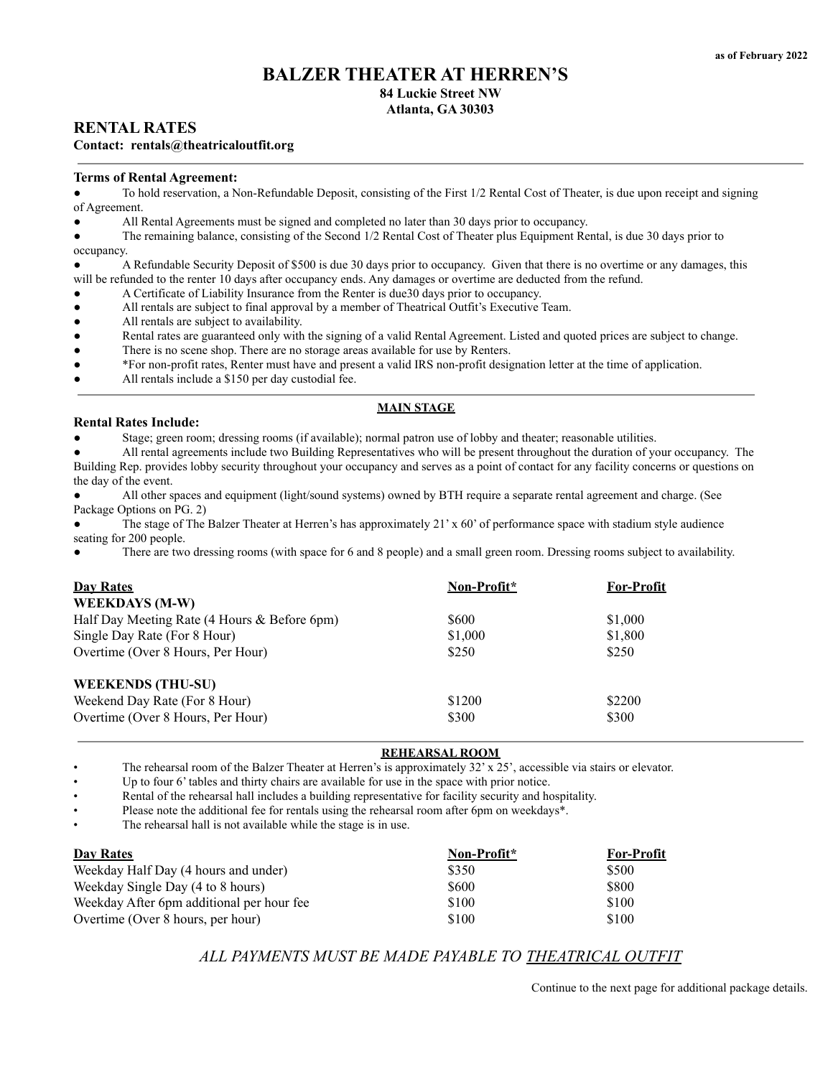## **BALZER THEATER AT HERREN'S 84 Luckie Street NW**

# **Atlanta, GA 30303**

## **RENTAL RATES**

### **Contact: rentals@theatricaloutfit.org**

#### **Terms of Rental Agreement:**

To hold reservation, a Non-Refundable Deposit, consisting of the First 1/2 Rental Cost of Theater, is due upon receipt and signing of Agreement.

All Rental Agreements must be signed and completed no later than 30 days prior to occupancy.

The remaining balance, consisting of the Second 1/2 Rental Cost of Theater plus Equipment Rental, is due 30 days prior to occupancy.

A Refundable Security Deposit of \$500 is due 30 days prior to occupancy. Given that there is no overtime or any damages, this will be refunded to the renter 10 days after occupancy ends. Any damages or overtime are deducted from the refund.

A Certificate of Liability Insurance from the Renter is due30 days prior to occupancy.

All rentals are subject to final approval by a member of Theatrical Outfit's Executive Team.

- All rentals are subject to availability.
- Rental rates are guaranteed only with the signing of a valid Rental Agreement. Listed and quoted prices are subject to change.
- There is no scene shop. There are no storage areas available for use by Renters.
- \*For non-profit rates, Renter must have and present a valid IRS non-profit designation letter at the time of application.
- All rentals include a \$150 per day custodial fee.

## **MAIN STAGE**

#### **Rental Rates Include:**

Stage; green room; dressing rooms (if available); normal patron use of lobby and theater; reasonable utilities.

All rental agreements include two Building Representatives who will be present throughout the duration of your occupancy. The Building Rep. provides lobby security throughout your occupancy and serves as a point of contact for any facility concerns or questions on the day of the event.

All other spaces and equipment (light/sound systems) owned by BTH require a separate rental agreement and charge. (See Package Options on PG. 2)

The stage of The Balzer Theater at Herren's has approximately  $21' \times 60'$  of performance space with stadium style audience seating for 200 people.

There are two dressing rooms (with space for 6 and 8 people) and a small green room. Dressing rooms subject to availability.

| <b>Day Rates</b>                             | Non-Profit* | <b>For-Profit</b> |
|----------------------------------------------|-------------|-------------------|
| <b>WEEKDAYS (M-W)</b>                        |             |                   |
| Half Day Meeting Rate (4 Hours & Before 6pm) | \$600       | \$1,000           |
| Single Day Rate (For 8 Hour)                 | \$1,000     | \$1,800           |
| Overtime (Over 8 Hours, Per Hour)            | \$250       | \$250             |
| <b>WEEKENDS (THU-SU)</b>                     |             |                   |
| Weekend Day Rate (For 8 Hour)                | \$1200      | \$2200            |
| Overtime (Over 8 Hours, Per Hour)            | \$300       | \$300             |

#### **REHEARSAL ROOM**

The rehearsal room of the Balzer Theater at Herren's is approximately  $32' \times 25'$ , accessible via stairs or elevator.

Up to four 6' tables and thirty chairs are available for use in the space with prior notice.

• Rental of the rehearsal hall includes a building representative for facility security and hospitality.

Please note the additional fee for rentals using the rehearsal room after 6pm on weekdays\*.

The rehearsal hall is not available while the stage is in use.

| <b>Day Rates</b>                          | Non-Profit* | <b>For-Profit</b> |
|-------------------------------------------|-------------|-------------------|
| Weekday Half Day (4 hours and under)      | \$350       | \$500             |
| Weekday Single Day (4 to 8 hours)         | \$600       | \$800             |
| Weekday After 6pm additional per hour fee | \$100       | \$100             |
| Overtime (Over 8 hours, per hour)         | \$100       | \$100             |

## *ALL PAYMENTS MUST BE MADE PAYABLE TO THEATRICAL OUTFIT*

Continue to the next page for additional package details.